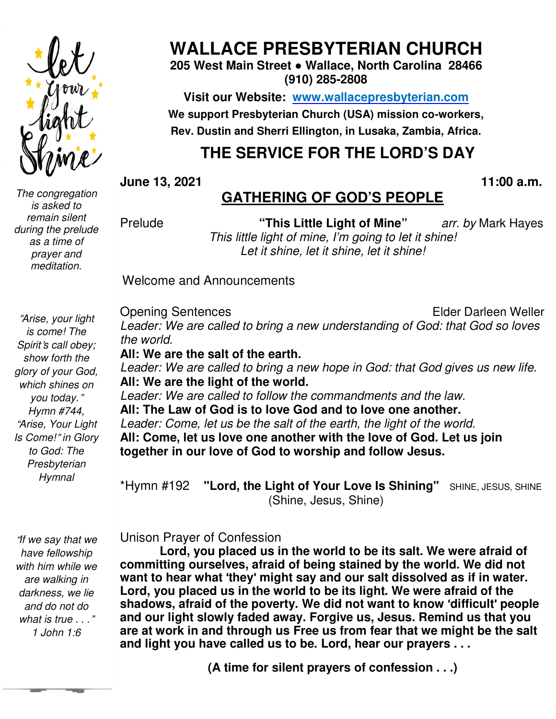

*The congregation is asked to remain silent during the prelude as a time of prayer and meditation.* 

# **WALLACE WALLACE PRESBYTERIAN CHURCH**

**205 West Main Main Street ● Wallace, North Carolina 28466 (910) 285-2808** 

**Visit our Website: Website: www.wallacepresbyterian.com We support Presbyterian Presbyterian Church (USA) mission co-workers, Rev. Dustin and and Sherri Ellington, in Lusaka, Zambia, Africa.** 

# **THE SERVICE FOR THE LORD'S DAY**

**June 13, 2021** 

#### **11:00 :00 a.m.**

# **GATHERING GATHERING OF GOD'S PEOPLE**

Prelude

*This little little light of mine, I'm going to let it shine! Let Let it shine, let it shine, let it shine!* **"This Little Light of Mine"** *arr. by* Mark Hayes

Welcome and Announcements

"*Arise, your light is come! The Spirit*'*s call obey; show forth the glory of your God, which shines on you today.*" *Hymn #744,*  "*Arise, Your Light Is Come!*" *in Glory to God: The Presbyterian Hymnal* 

 *1 John 1:6*  "*If we say that we have fellowship with him while we are walking in darkness, we lie and do not do what is true . . .*"

Opening Sentences Leader: We are called to bring a new understanding of God: that God so loves *the world.*  Elder Darleen Darleen Weller

All: We are the salt of the earth. Leader: We are called to bring a new hope in God: that God gives us new life. **All: We are the light of the the world.**  *Leader: We are called to follow the commandments and the law.*  **All: The Law of God is to to love God and to love one another.** Leader: Come, let us be the salt of the earth, the light of the world. All: Come, let us love one another with the love of God. Let us join **together in our love of God God to worship and follow Jesus.** 

\*Hymn #192 **"Lord, the** "Lord, the Light of Your Love Is Shining" (Shine, Jesus, Shine) SHINE, JESUS, SHINE

Unison Prayer of Confes Confession

Lord, you placed us in the world to be its salt. We were afraid of committing ourselves, afraid of being stained by the world. We did not **want to hear what** '**they** ' **might say and our salt dissolved as if in water.** Lord, you placed us in the world to be its light. We were afraid of the **shadows, afraid of the poverty. We did not want to know 'difficult' people and our light slowly faded faded away. Forgive us, Jesus. Remind us that that you**  are at work in and through us Free us from fear that we might be the salt and light you have called us to be. Lord, hear our prayers . . .

**(A time for silent prayers of confession . . .)**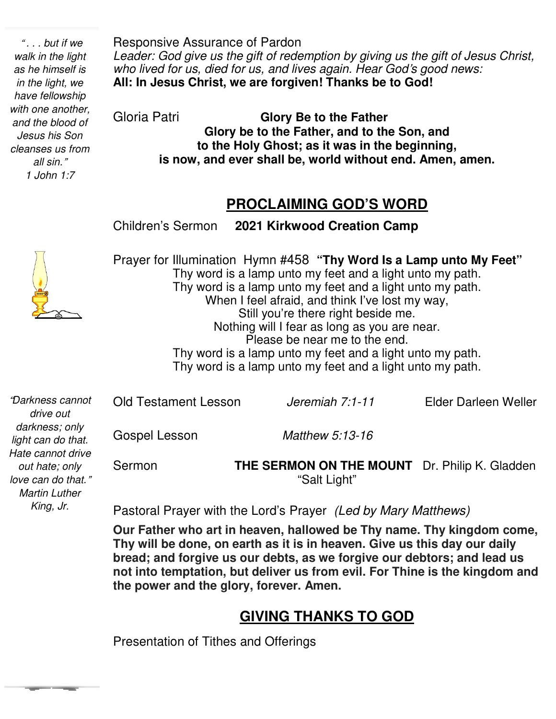" *. . . but if we walk in the light as he himself is in the light, we have fellowship with one another, and the blood of Jesus his Son cleanses us from all sin.*" *1 John 1:7* 

Responsive Assurance of Pardon *Leader: God give us the gift of redemption by giving us the gift of Jesus Christ, who lived for us, died for us, and lives again. Hear God*'*s good news:*  **All: In Jesus Christ, we are forgiven! Thanks be to God!** 

Gloria Patri **Glory Be to the Father Glory be to the Father, and to the Son, and to the Holy Ghost; as it was in the beginning, is now, and ever shall be, world without end. Amen, amen.** 

### **PROCLAIMING GOD'S WORD**

Children's Sermon **2021 Kirkwood Creation Camp** 



*King, Jr.* 

Prayer for Illumination Hymn #458 **"Thy Word Is a Lamp unto My Feet"** Thy word is a lamp unto my feet and a light unto my path. Thy word is a lamp unto my feet and a light unto my path. When I feel afraid, and think I've lost my way, Still you're there right beside me. Nothing will I fear as long as you are near. Please be near me to the end. Thy word is a lamp unto my feet and a light unto my path. Thy word is a lamp unto my feet and a light unto my path.

Old Testament Lesson *Jeremiah 7:1-11* Elder Darleen Weller Gospel Lesson *Matthew 5:13-16* Sermon **THE SERMON ON THE MOUNT** Dr. Philip K. Gladden "Salt Light" "*Darkness cannot drive out darkness; only light can do that. Hate cannot drive out hate; only love can do that.*" *Martin Luther* 

Pastoral Prayer with the Lord's Prayer *(Led by Mary Matthews)* 

v<br>. **Our Father who art in heaven, hallowed be Thy name. Thy kingdom come, Thy will be done, on earth as it is in heaven. Give us this day our daily bread; and forgive us our debts, as we forgive our debtors; and lead us not into temptation, but deliver us from evil. For Thine is the kingdom and the power and the glory, forever. Amen.** 

# **GIVING THANKS TO GOD**

Presentation of Tithes and Offerings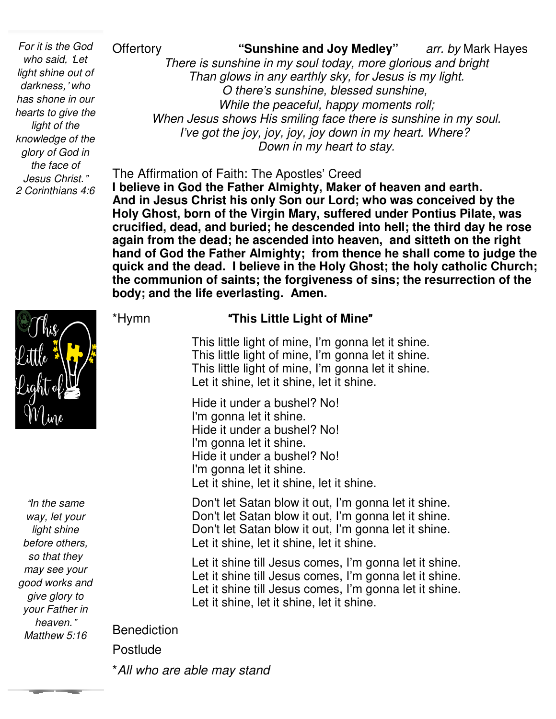*For it is the God who said,* '*Let light shine out of darkness,*' *who has shone in our hearts to give the light of the knowledge of the glory of God in the face of Jesus Christ.*" *2 Corinthians 4:6* 

"*In the same way, let your light shine before others, so that they may see your good works and give glory to your Father in heaven.*" *Matthew 5:16* 

Offertory **"Sunshine and Joy Medley"** *arr. by* Mark Hayes *There is sunshine in my soul today, more glorious and bright Than glows in any earthly sky, for Jesus is my light. O there's sunshine, blessed sunshine, While the peaceful, happy moments roll; When Jesus shows His smiling face there is sunshine in my soul. I've got the joy, joy, joy, joy down in my heart. Where? Down in my heart to stay.*

The Affirmation of Faith: The Apostles' Creed **I believe in God the Father Almighty, Maker of heaven and earth. And in Jesus Christ his only Son our Lord; who was conceived by the Holy Ghost, born of the Virgin Mary, suffered under Pontius Pilate, was crucified, dead, and buried; he descended into hell; the third day he rose again from the dead; he ascended into heaven, and sitteth on the right hand of God the Father Almighty; from thence he shall come to judge the quick and the dead. I believe in the Holy Ghost; the holy catholic Church; the communion of saints; the forgiveness of sins; the resurrection of the body; and the life everlasting. Amen.** 



#### \*Hymn "**This Little Light of Mine**"

 This little light of mine, I'm gonna let it shine. This little light of mine, I'm gonna let it shine. This little light of mine, I'm gonna let it shine. Let it shine, let it shine, let it shine.

 Hide it under a bushel? No! I'm gonna let it shine. Hide it under a bushel? No! I'm gonna let it shine. Hide it under a bushel? No! I'm gonna let it shine. Let it shine, let it shine, let it shine.

 Don't let Satan blow it out, I'm gonna let it shine. Don't let Satan blow it out, I'm gonna let it shine. Don't let Satan blow it out, I'm gonna let it shine. Let it shine, let it shine, let it shine.

 Let it shine till Jesus comes, I'm gonna let it shine. Let it shine till Jesus comes, I'm gonna let it shine. Let it shine till Jesus comes, I'm gonna let it shine. Let it shine, let it shine, let it shine.

Benediction

Postlude

\**All who are able may stand*